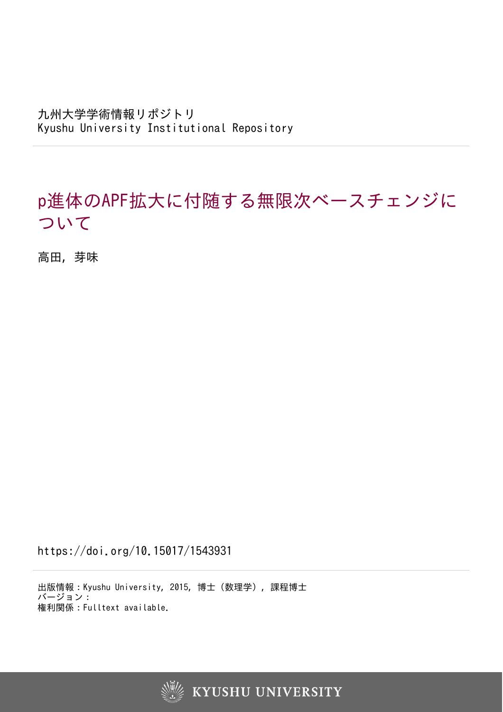九州大学学術情報リポジトリ Kyushu University Institutional Repository

# p進体のAPF拡大に付随する無限次ベースチェンジに ついて

高田, 芽味

https://doi.org/10.15017/1543931

出版情報:Kyushu University, 2015, 博士(数理学), 課程博士 バージョン: 権利関係:Fulltext available.



**KYUSHU UNIVERSITY**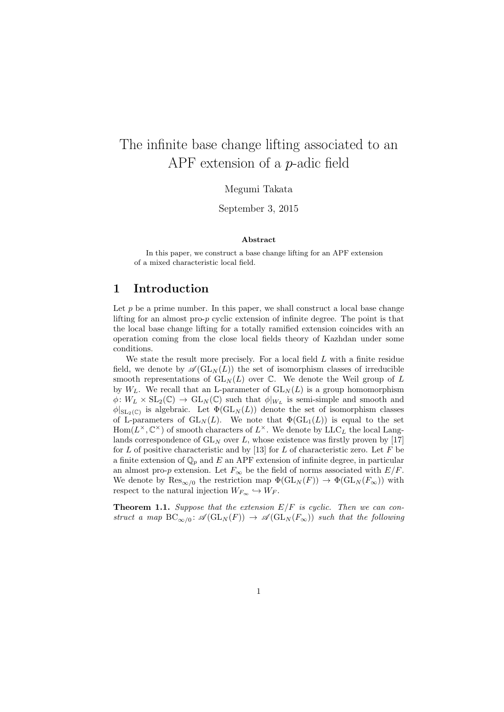# The infinite base change lifting associated to an APF extension of a *p*-adic field

Megumi Takata

September 3, 2015

#### **Abstract**

In this paper, we construct a base change lifting for an APF extension of a mixed characteristic local field.

#### **1 Introduction**

Let  $p$  be a prime number. In this paper, we shall construct a local base change lifting for an almost pro-*p* cyclic extension of infinite degree. The point is that the local base change lifting for a totally ramified extension coincides with an operation coming from the close local fields theory of Kazhdan under some conditions.

We state the result more precisely. For a local field *L* with a finite residue field, we denote by  $\mathscr{A}(\mathrm{GL}_N(L))$  the set of isomorphism classes of irreducible smooth representations of  $GL_N(L)$  over  $\mathbb{C}$ . We denote the Weil group of L by  $W_L$ . We recall that an L-parameter of  $GL_N(L)$  is a group homomorphism  $\phi: W_L \times SL_2(\mathbb{C}) \to GL_N(\mathbb{C})$  such that  $\phi|_{W_L}$  is semi-simple and smooth and  $\phi|_{SL_2(\mathbb{C})}$  is algebraic. Let  $\Phi(GL_N(L))$  denote the set of isomorphism classes of L-parameters of  $GL_N(L)$ . We note that  $\Phi(GL_1(L))$  is equal to the set  $Hom(L^{\times}, \mathbb{C}^{\times})$  of smooth characters of  $L^{\times}$ . We denote by  $LLC_L$  the local Langlands correspondence of  $GL_N$  over L, whose existence was firstly proven by [17] for *L* of positive characteristic and by [13] for *L* of characteristic zero. Let *F* be a finite extension of Q*<sup>p</sup>* and *E* an APF extension of infinite degree, in particular an almost pro-*p* extension. Let  $F_\infty$  be the field of norms associated with  $E/F$ . We denote by  $\text{Res}_{\infty/0}$  the restriction map  $\Phi(\text{GL}_N(F)) \to \Phi(\text{GL}_N(F_{\infty}))$  with respect to the natural injection  $W_{F_{\infty}} \hookrightarrow W_F$ .

**Theorem 1.1.** *Suppose that the extension E/F is cyclic. Then we can construct a map*  $BC_{\infty/0}$ :  $\mathscr{A}(GL_N(F)) \to \mathscr{A}(GL_N(F_{\infty}))$  *such that the following*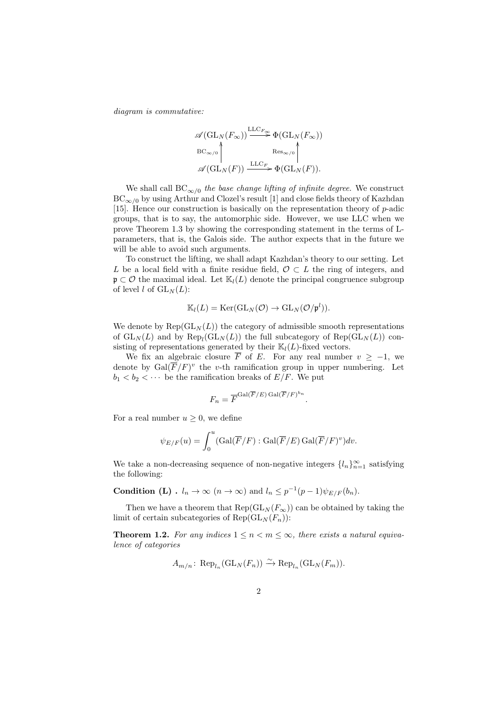*diagram is commutative:*

$$
\mathscr{A}(\mathrm{GL}_N(F_\infty)) \xrightarrow{\mathrm{LLC}_{F_\infty}} \Phi(\mathrm{GL}_N(F_\infty))
$$
  
\n
$$
\mathbb{E} C_{\infty/0} \uparrow \qquad \qquad \mathbb{R}es_{\infty/0} \uparrow \qquad \qquad \mathbb{E} C_{\mathrm{SL}_N(F)}
$$
  
\n
$$
\mathscr{A}(\mathrm{GL}_N(F)) \xrightarrow{\mathrm{LLC}_F} \Phi(\mathrm{GL}_N(F)).
$$

We shall call  $BC<sub>\infty/0</sub>$  *the base change lifting of infinite degree.* We construct BC*∞/*<sup>0</sup> by using Arthur and Clozel's result [1] and close fields theory of Kazhdan [15]. Hence our construction is basically on the representation theory of *p*-adic groups, that is to say, the automorphic side. However, we use LLC when we prove Theorem 1.3 by showing the corresponding statement in the terms of Lparameters, that is, the Galois side. The author expects that in the future we will be able to avoid such arguments.

To construct the lifting, we shall adapt Kazhdan's theory to our setting. Let *L* be a local field with a finite residue field, *O ⊂ L* the ring of integers, and p *⊂ O* the maximal ideal. Let K*l*(*L*) denote the principal congruence subgroup of level *l* of  $GL_N(L)$ :

$$
\mathbb{K}_l(L) = \text{Ker}(\text{GL}_N(\mathcal{O}) \to \text{GL}_N(\mathcal{O}/\mathfrak{p}^l)).
$$

We denote by  $\text{Rep}(\text{GL}_N(L))$  the category of admissible smooth representations of  $GL_N(L)$  and by  $Rep_l(GL_N(L))$  the full subcategory of  $Rep(GL_N(L))$  consisting of representations generated by their  $\mathbb{K}_l(L)$ -fixed vectors.

We fix an algebraic closure  $\overline{F}$  of *E*. For any real number  $v \ge -1$ , we denote by  $Gal(\overline{F}/F)^v$  the *v*-th ramification group in upper numbering. Let  $b_1 < b_2 < \cdots$  be the ramification breaks of  $E/F$ . We put

$$
F_n = \overline{F}^{\text{Gal}(\overline{F}/E) \,\text{Gal}(\overline{F}/F)^{bn}}.
$$

For a real number  $u \geq 0$ , we define

$$
\psi_{E/F}(u) = \int_0^u (\text{Gal}(\overline{F}/F) : \text{Gal}(\overline{F}/E) \text{Gal}(\overline{F}/F)^v) dv.
$$

We take a non-decreasing sequence of non-negative integers  $\{l_n\}_{n=1}^{\infty}$  satisfying the following:

**Condition (L)** .  $l_n \to \infty$   $(n \to \infty)$  and  $l_n \leq p^{-1}(p-1)\psi_{E/F}(b_n)$ .

Then we have a theorem that  $\text{Rep}(\text{GL}_N(F_\infty))$  can be obtained by taking the limit of certain subcategories of  $\text{Rep}(\text{GL}_N(F_n))$ :

**Theorem 1.2.** For any indices  $1 \leq n \leq m \leq \infty$ , there exists a natural equiva*lence of categories*

$$
A_{m/n} \colon \operatorname{Rep}_{l_n}(\operatorname{GL}_N(F_n)) \xrightarrow{\sim} \operatorname{Rep}_{l_n}(\operatorname{GL}_N(F_m)).
$$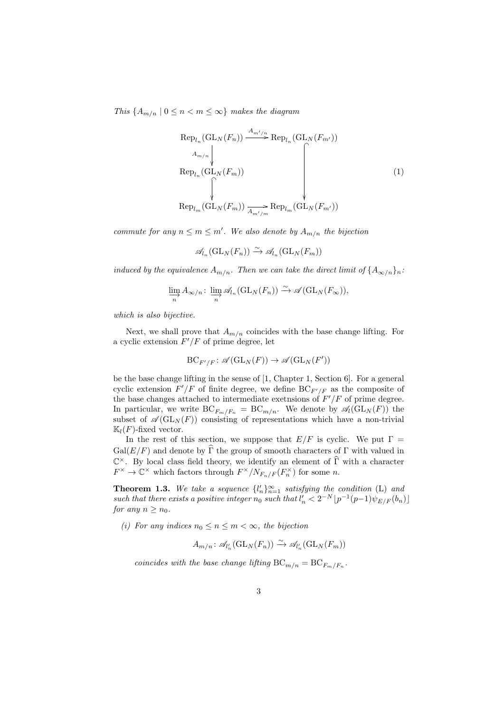*This*  ${A_{m/n} \mid 0 \leq n < m \leq \infty}$  *makes the diagram* 

$$
\operatorname{Rep}_{l_n}(\operatorname{GL}_N(F_n)) \xrightarrow{A_{m'/n}} \operatorname{Rep}_{l_n}(\operatorname{GL}_N(F_{m'}))
$$
\n
$$
\operatorname{Rep}_{l_n}(\operatorname{GL}_N(F_m)) \qquad \qquad \downarrow
$$
\n
$$
\operatorname{Rep}_{l_m}(\operatorname{GL}_N(F_m)) \xrightarrow{\wedge} \operatorname{Rep}_{l_m}(\operatorname{GL}_N(F_{m'}))
$$
\n
$$
\operatorname{Rep}_{l_m}(\operatorname{GL}_N(F_m)) \xrightarrow{\wedge} \operatorname{Rep}_{l_m}(\operatorname{GL}_N(F_{m'}))
$$
\n
$$
(1)
$$

*commute for any*  $n \leq m \leq m'$ . We also denote by  $A_{m/n}$  the bijection

$$
\mathscr{A}_{l_n}(\mathrm{GL}_N(F_n)) \xrightarrow{\sim} \mathscr{A}_{l_n}(\mathrm{GL}_N(F_m))
$$

*induced by the equivalence*  $A_{m/n}$ *. Then we can take the direct limit of*  $\{A_{\infty/n}\}_n$ *:* 

$$
\varinjlim_{n} A_{\infty/n} \colon \varinjlim_{n} \mathscr{A}_{l_n}(\mathrm{GL}_N(F_n)) \xrightarrow{\sim} \mathscr{A}(\mathrm{GL}_N(F_{\infty})),
$$

*which is also bijective.*

Next, we shall prove that  $A_{m/n}$  coincides with the base change lifting. For a cyclic extension *F ′/F* of prime degree, let

$$
\mathrm{BC}_{F'/F} \colon \mathscr{A}(\mathrm{GL}_N(F)) \to \mathscr{A}(\mathrm{GL}_N(F'))
$$

be the base change lifting in the sense of [1, Chapter 1, Section 6]. For a general cyclic extension  $F'/F$  of finite degree, we define  $BC_{F'/F}$  as the composite of the base changes attached to intermediate exetnsions of *F ′/F* of prime degree. In particular, we write  $BC_{F_m/F_n} = BC_{m/n}$ . We denote by  $\mathscr{A}_l(GL_N(F))$  the subset of  $\mathscr{A}(\mathrm{GL}_N(F))$  consisting of representations which have a non-trivial  $\mathbb{K}_l(F)$ -fixed vector.

In the rest of this section, we suppose that  $E/F$  is cyclic. We put  $\Gamma =$  $Gal(E/F)$  and denote by  $\widehat{\Gamma}$  the group of smooth characters of  $\Gamma$  with valued in C *<sup>×</sup>*. By local class field theory, we identify an element of Γ with a character b  $F^{\times} \to \mathbb{C}^{\times}$  which factors through  $F^{\times}/N_{F_n/F}(F_n^{\times})$  for some *n*.

**Theorem 1.3.** We take a sequence  $\{l'_n\}_{n=1}^{\infty}$  satisfying the condition (L) and *such that there exists a positive integer*  $n_0$  *such that*  $l'_n < 2^{-N} \lfloor p^{-1}(p-1)\psi_{E/F}(b_n) \rfloor$ *for any*  $n \geq n_0$ *.* 

(*i*) For any indices  $n_0 \leq n \leq m < \infty$ , the bijection

$$
A_{m/n} : \mathcal{A}_{l'_n}(\mathrm{GL}_N(F_n)) \xrightarrow{\sim} \mathcal{A}_{l'_n}(\mathrm{GL}_N(F_m))
$$

*coincides with the base change lifting*  $BC_{m/n} = BC_{F_m/F_n}$ .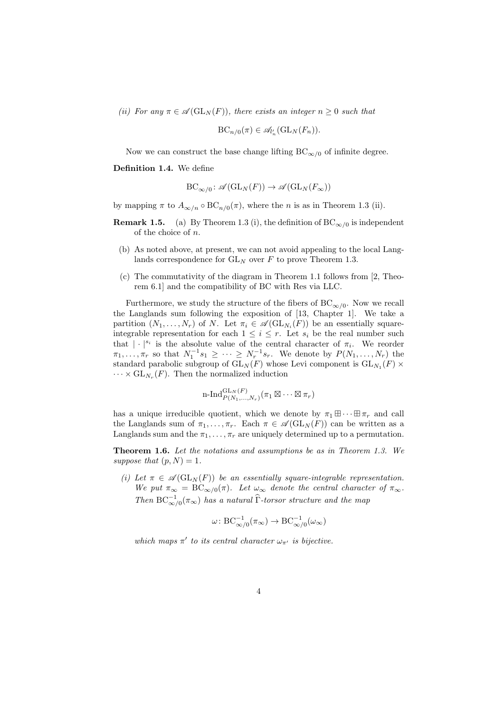*(ii)* For any  $\pi \in \mathcal{A}(\mathrm{GL}_N(F))$ , there exists an integer  $n \geq 0$  such that

$$
\mathrm{BC}_{n/0}(\pi) \in \mathscr{A}_{l'_n}(\mathrm{GL}_N(F_n)).
$$

Now we can construct the base change lifting  $BC_{\infty/0}$  of infinite degree.

**Definition 1.4.** We define

$$
\operatorname{BC}_{\infty/0}\colon \mathscr{A}(\operatorname{GL}_N(F)) \to \mathscr{A}(\operatorname{GL}_N(F_\infty))
$$

by mapping  $\pi$  to  $A_{\infty/n} \circ BC_{n/0}(\pi)$ , where the *n* is as in Theorem 1.3 (ii).

- **Remark 1.5.** (a) By Theorem 1.3 (i), the definition of  $BC_{\infty/0}$  is independent of the choice of *n*.
	- (b) As noted above, at present, we can not avoid appealing to the local Langlands correspondence for  $GL_N$  over  $F$  to prove Theorem 1.3.
	- (c) The commutativity of the diagram in Theorem 1.1 follows from [2, Theorem 6.1] and the compatibility of BC with Res via LLC.

Furthermore, we study the structure of the fibers of  $BC_{\infty/0}$ . Now we recall the Langlands sum following the exposition of [13, Chapter 1]. We take a partition  $(N_1, \ldots, N_r)$  of *N*. Let  $\pi_i \in \mathscr{A}(\mathrm{GL}_{N_i}(F))$  be an essentially squareintegrable representation for each  $1 \leq i \leq r$ . Let  $s_i$  be the real number such that  $| \cdot |^{s_i}$  is the absolute value of the central character of  $\pi_i$ . We reorder  $\pi_1, \ldots, \pi_r$  so that  $N_1^{-1} s_1 \geq \cdots \geq N_r^{-1} s_r$ . We denote by  $P(N_1, \ldots, N_r)$  the standard parabolic subgroup of  $GL_N(F)$  whose Levi component is  $GL_{N_1}(F)$   $\times$  $\cdots \times GL_{N_r}(F)$ . Then the normalized induction

$$
\operatorname{n-Ind}_{P(N_1,\ldots,N_r)}^{\operatorname{GL}_N(F)}(\pi_1\boxtimes\cdots\boxtimes\pi_r)
$$

has a unique irreducible quotient, which we denote by  $\pi_1 \boxplus \cdots \boxplus \pi_r$  and call the Langlands sum of  $\pi_1, \ldots, \pi_r$ . Each  $\pi \in \mathscr{A}(\mathrm{GL}_N(F))$  can be written as a Langlands sum and the  $\pi_1, \ldots, \pi_r$  are uniquely determined up to a permutation.

**Theorem 1.6.** *Let the notations and assumptions be as in Theorem 1.3. We suppose that*  $(p, N) = 1$ *.* 

*(i)* Let  $\pi \in \mathcal{A}(\mathrm{GL}_N(F))$  be an essentially square-integrable representation. *We put*  $\pi_{\infty} = BC_{\infty/0}(\pi)$ *. Let*  $\omega_{\infty}$  *denote the central character of*  $\pi_{\infty}$ *. Then*  $BC^{-1}_{\infty/0}(\pi_{\infty})$  *has a natural*  $\widehat{\Gamma}$ *-torsor structure and the map* 

$$
\omega\colon \mathrm{BC}^{-1}_{\infty/0}(\pi_\infty)\to \mathrm{BC}^{-1}_{\infty/0}(\omega_\infty)
$$

*which maps*  $\pi'$  *to its central character*  $\omega_{\pi'}$  *is bijective.*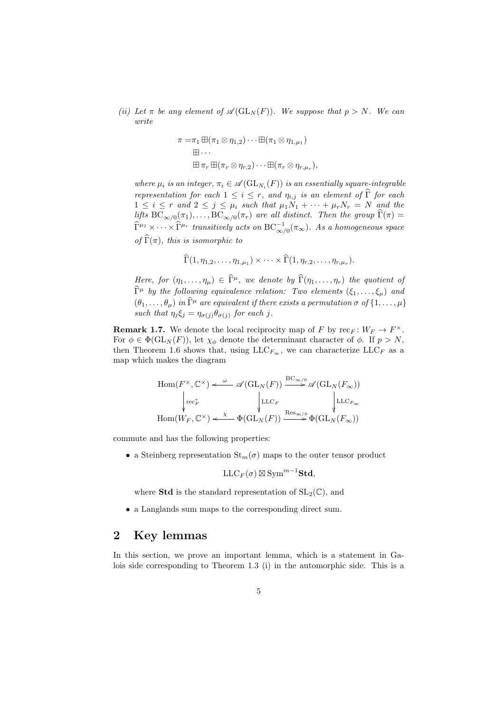*(ii)* Let  $\pi$  be any element of  $\mathscr{A}(\mathrm{GL}_N(F))$ . We suppose that  $p > N$ . We can *write*

$$
\pi = \pi_1 \boxplus (\pi_1 \otimes \eta_{1,2}) \cdots \boxplus (\pi_1 \otimes \eta_{1,\mu_1})
$$
  

$$
\boxplus \cdots
$$
  

$$
\boxplus \pi_r \boxplus (\pi_r \otimes \eta_{r,2}) \cdots \boxplus (\pi_r \otimes \eta_{r,\mu_r}),
$$

*where*  $\mu_i$  *is an integer,*  $\pi_i \in \mathscr{A}(\mathrm{GL}_{N_i}(F))$  *is an essentially square-integrable representation for each*  $1 \leq i \leq r$ , and  $\eta_{i,j}$  *is an element of*  $\widehat{\Gamma}$  *for each*  $1 \leq i \leq r$  and  $2 \leq j \leq \mu_i$  such that  $\mu_1 N_1 + \cdots + \mu_r N_r = N$  and the *lifts*  $BC_{\infty/0}(\pi_1), \ldots, BC_{\infty/0}(\pi_r)$  are all distinct. Then the group  $\Gamma(\pi) =$  $\widehat{\Gamma}^{\mu_1}\times\cdots\times\widehat{\Gamma}^{\mu_r}$  transitively acts on  $\mathrm{BC}_{\infty/0}^{-1}(\pi_\infty)$ . As a homogeneous space *of*  $\widehat{\Gamma}(\pi)$ *, this is isomorphic to* 

$$
\widehat{\Gamma}(1,\eta_{1,2},\ldots,\eta_{1,\mu_1})\times\cdots\times\widehat{\Gamma}(1,\eta_{r,2},\ldots,\eta_{r,\mu_r}).
$$

*Here, for*  $(\eta_1, \ldots, \eta_\mu) \in \hat{\Gamma}^\mu$ *, we denote by*  $\hat{\Gamma}(\eta_1, \ldots, \eta_r)$  *the quotient of*  $\widehat{\Gamma}^{\mu}$  *by the following equivalence relation: Two elements*  $(\xi_1, \ldots, \xi_{\mu})$  and  $(\theta_1, \ldots, \theta_\mu)$  *in*  $\widehat{\Gamma}^\mu$  *are equivalent if there exists a permutation*  $\sigma$  *of*  $\{1, \ldots, \mu\}$ *such that*  $\eta_j \xi_j = \eta_{\sigma(j)} \theta_{\sigma(j)}$  *for each j*.

**Remark 1.7.** We denote the local reciprocity map of *F* by  $\text{rec}_F: W_F \to F^{\times}$ . For  $\phi \in \Phi(\mathrm{GL}_N(F))$ , let  $\chi_{\phi}$  denote the determinant character of  $\phi$ . If  $p > N$ , then Theorem 1.6 shows that, using  $LLC_{F_{\infty}}$ , we can characterize  $LLC_F$  as a map which makes the diagram

$$
\text{Hom}(F^{\times}, \mathbb{C}^{\times}) \xleftarrow{\omega} \mathscr{A}(\text{GL}_N(F)) \xrightarrow{\text{BC}_{\infty/0}} \mathscr{A}(\text{GL}_N(F_{\infty}))
$$
\n
$$
\downarrow_{\text{rec}_{F}^*} \qquad \qquad \downarrow_{\text{LLC}_F} \qquad \qquad \downarrow_{\text{LLC}_{F_{\infty}}}
$$
\n
$$
\text{Hom}(W_F, \mathbb{C}^{\times}) \xleftarrow{\chi} \Phi(\text{GL}_N(F)) \xrightarrow{\text{Res}_{\infty/0}} \Phi(\text{GL}_N(F_{\infty}))
$$

commute and has the following properties:

• a Steinberg representation  $\text{St}_m(\sigma)$  maps to the outer tensor product

$$
\mathrm{LLC}_F(\sigma)\boxtimes\mathrm{Sym}^{m-1}\mathbf{Std},
$$

where **Std** is the standard representation of  $SL_2(\mathbb{C})$ , and

*•* a Langlands sum maps to the corresponding direct sum.

#### **2 Key lemmas**

In this section, we prove an important lemma, which is a statement in Galois side corresponding to Theorem 1.3 (i) in the automorphic side. This is a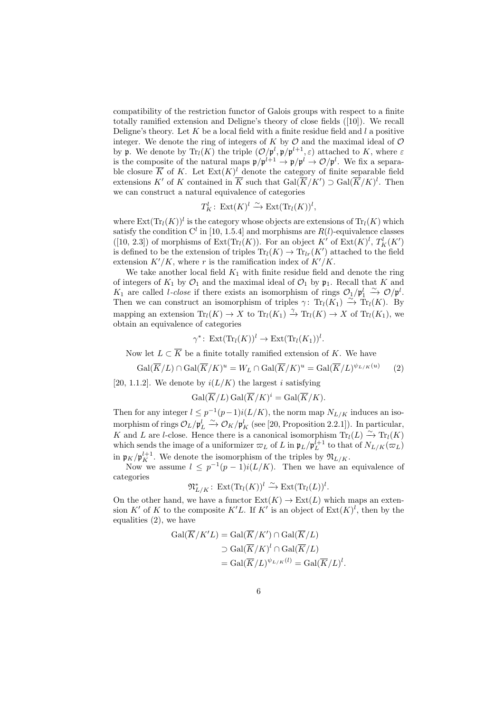compatibility of the restriction functor of Galois groups with respect to a finite totally ramified extension and Deligne's theory of close fields ([10]). We recall Deligne's theory. Let *K* be a local field with a finite residue field and *l* a positive integer. We denote the ring of integers of  $K$  by  $\mathcal O$  and the maximal ideal of  $\mathcal O$ by **p**. We denote by  $\text{Tr}_{l}(K)$  the triple  $(\mathcal{O}/\mathfrak{p}^{l}, \mathfrak{p}/\mathfrak{p}^{l+1}, \varepsilon)$  attached to K, where  $\varepsilon$ is the composite of the natural maps  $\mathfrak{p}/\mathfrak{p}^{l+1} \to \mathfrak{p}/\mathfrak{p}^l \to \mathcal{O}/\mathfrak{p}^l$ . We fix a separable closure  $\overline{K}$  of K. Let  $\text{Ext}(K)^l$  denote the category of finite separable field extensions *K'* of *K* contained in  $\overline{K}$  such that  $Gal(\overline{K}/K') \supset Gal(\overline{K}/K)^{l}$ . Then we can construct a natural equivalence of categories

$$
T_K^l: \operatorname{Ext}(K)^l \xrightarrow{\sim} \operatorname{Ext}(\operatorname{Tr}_l(K))^l,
$$

where  $\text{Ext}(\text{Tr}_l(K))^l$  is the category whose objects are extensions of  $\text{Tr}_l(K)$  which satisfy the condition  $C^l$  in [10, 1.5.4] and morphisms are  $R(l)$ -equivalence classes ([10, 2.3]) of morphisms of Ext(Tr<sub>l</sub>(*K*)). For an object  $K'$  of Ext( $K$ <sup>)</sup><sup>1</sup>,  $T_K^l(K')$ is defined to be the extension of triples  $\text{Tr}_{l}(K) \rightarrow \text{Tr}_{lr}(K')$  attached to the field extension  $K'/K$ , where *r* is the ramification index of  $K'/K$ .

We take another local field  $K_1$  with finite residue field and denote the ring of integers of  $K_1$  by  $\mathcal{O}_1$  and the maximal ideal of  $\mathcal{O}_1$  by  $\mathfrak{p}_1$ . Recall that *K* and *K*<sub>1</sub> are called *l-close* if there exists an isomorphism of rings  $O_1/p_1^l \stackrel{\sim}{\rightarrow} O/p^l$ . Then we can construct an isomorphism of triples  $\gamma$ : Tr<sub>l</sub>( $K_1$ )  $\stackrel{\sim}{\to}$  Tr<sub>l</sub>( $K$ ). By mapping an extension  $\text{Tr}_l(K) \to X$  to  $\text{Tr}_l(K_1) \to \text{Tr}_l(K) \to X$  of  $\text{Tr}_l(K_1)$ , we obtain an equivalence of categories

$$
\gamma^* \colon \operatorname{Ext}(\operatorname{Tr}_l(K))^l \to \operatorname{Ext}(\operatorname{Tr}_l(K_1))^l.
$$

Now let  $L \subset \overline{K}$  be a finite totally ramified extension of K. We have

$$
\operatorname{Gal}(\overline{K}/L) \cap \operatorname{Gal}(\overline{K}/K)^u = W_L \cap \operatorname{Gal}(\overline{K}/K)^u = \operatorname{Gal}(\overline{K}/L)^{\psi_{L/K}(u)} \tag{2}
$$

[20, 1.1.2]. We denote by  $i(L/K)$  the largest *i* satisfying

$$
\operatorname{Gal}(\overline{K}/L) \operatorname{Gal}(\overline{K}/K)^{i} = \operatorname{Gal}(\overline{K}/K).
$$

Then for any integer  $l \leq p^{-1}(p-1)i(L/K)$ , the norm map  $N_{L/K}$  induces an isomorphism of rings  $\mathcal{O}_L/\mathfrak{p}_L^l \xrightarrow{\sim} \mathcal{O}_K/\mathfrak{p}_K^l$  (see [20, Proposition 2.2.1]). In particular, *K* and *L* are *l*-close. Hence there is a canonical isomorphism  $Tr_l(L) \stackrel{\sim}{\rightarrow} Tr_l(K)$ which sends the image of a uniformizer  $\varpi_L$  of *L* in  $\mathfrak{p}_L/\mathfrak{p}_L^{l+1}$  to that of  $N_{L/K}(\varpi_L)$ in  $\mathfrak{p}_K / \mathfrak{p}_K^{l+1}$ . We denote the isomorphism of the triples by  $\mathfrak{N}_{L/K}$ .

Now we assume  $l \leq p^{-1}(p-1)i(L/K)$ . Then we have an equivalence of categories

$$
\mathfrak{N}_{L/K}^* \colon \operatorname{Ext}(\operatorname{Tr}_l(K))^l \xrightarrow{\sim} \operatorname{Ext}(\operatorname{Tr}_l(L))^l.
$$

On the other hand, we have a functor  $Ext(K) \to Ext(L)$  which maps an extension *K'* of *K* to the composite *K'L*. If *K'* is an object of  $Ext(K)^{l}$ , then by the equalities (2), we have

$$
Gal(\overline{K}/K'L) = Gal(\overline{K}/K') \cap Gal(\overline{K}/L)
$$

$$
\supset Gal(\overline{K}/K)^{l} \cap Gal(\overline{K}/L)
$$

$$
= Gal(\overline{K}/L)^{\psi_{L/K}(l)} = Gal(\overline{K}/L)^{l}.
$$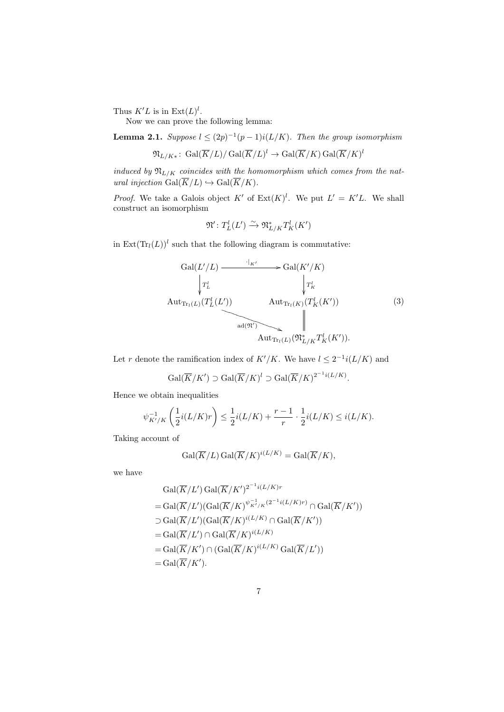Thus  $K'L$  is in  $\text{Ext}(L)^l$ .

Now we can prove the following lemma:

**Lemma 2.1.** *Suppose*  $l \leq (2p)^{-1}(p-1)i(L/K)$ *. Then the group isomorphism* 

$$
\mathfrak{N}_{L/K*}\colon \operatorname{Gal}(\overline{K}/L)/\operatorname{Gal}(\overline{K}/L)^l\to \operatorname{Gal}(\overline{K}/K)\operatorname{Gal}(\overline{K}/K)^l
$$

*induced by*  $\mathfrak{N}_{L/K}$  *coincides with the homomorphism which comes from the natural injection*  $Gal(\overline{K}/L) \hookrightarrow Gal(\overline{K}/K)$ .

*Proof.* We take a Galois object  $K'$  of  $Ext(K)^{l}$ . We put  $L' = K'L$ . We shall construct an isomorphism

$$
\mathfrak{N}'\colon T_L^l(L')\xrightarrow{\sim} \mathfrak{N}_{L/K}^*T_K^l(K')
$$

in  $\text{Ext}(\text{Tr}_{l}(L))^{l}$  such that the following diagram is commutative:

$$
\operatorname{Gal}(L'/L) \xrightarrow{\cdot|_{K'}} \operatorname{Gal}(K'/K) \xrightarrow{\cdot|_{K'}} \operatorname{Gal}(K'/K) \xrightarrow{\cdot|_{K'}} \operatorname{Gal}(K'/K) \xrightarrow{\cdot|_{K'}} \operatorname{Aut}_{\operatorname{Tr}_{l}(L)}(T_{K}^{l}(K')) \xrightarrow{\cdot|\cdot|_{K}} \operatorname{Aut}_{\operatorname{Tr}_{l}(L)}(\mathfrak{N}_{L/K}^{*}T_{K}^{l}(K')).
$$
\n
$$
\operatorname{Aut}_{\operatorname{Tr}_{l}(L)}(\mathfrak{N}_{L/K}^{*}T_{K}^{l}(K')).
$$
\n
$$
(3)
$$

*.*

Let *r* denote the ramification index of  $K'/K$ . We have  $l \leq 2^{-1}i(L/K)$  and

$$
\operatorname{Gal}(\overline{K}/K') \supset \operatorname{Gal}(\overline{K}/K)^l \supset \operatorname{Gal}(\overline{K}/K)^{2^{-1}i(L/K)}
$$

Hence we obtain inequalities

$$
\psi_{K'/K}^{-1}\left(\frac{1}{2}i(L/K)r\right) \leq \frac{1}{2}i(L/K) + \frac{r-1}{r} \cdot \frac{1}{2}i(L/K) \leq i(L/K).
$$

Taking account of

$$
\operatorname{Gal}(\overline{K}/L)\operatorname{Gal}(\overline{K}/K)^{i(L/K)}=\operatorname{Gal}(\overline{K}/K),
$$

we have

$$
Gal(\overline{K}/L') Gal(\overline{K}/K')^{2^{-1}i(L/K)r}
$$
  
= Gal(\overline{K}/L')(Gal(\overline{K}/K)^{\psi\_{K'/K}^{-1}(2^{-1}i(L/K)r)} \cap Gal(\overline{K}/K'))  
supset Gal(\overline{K}/L')(Gal(\overline{K}/K)^{i(L/K)} \cap Gal(\overline{K}/K'))  
= Gal(\overline{K}/L') \cap Gal(\overline{K}/K)^{i(L/K)}  
= Gal(\overline{K}/K') \cap (Gal(\overline{K}/K)^{i(L/K)} Gal(\overline{K}/L'))  
= Gal(\overline{K}/K').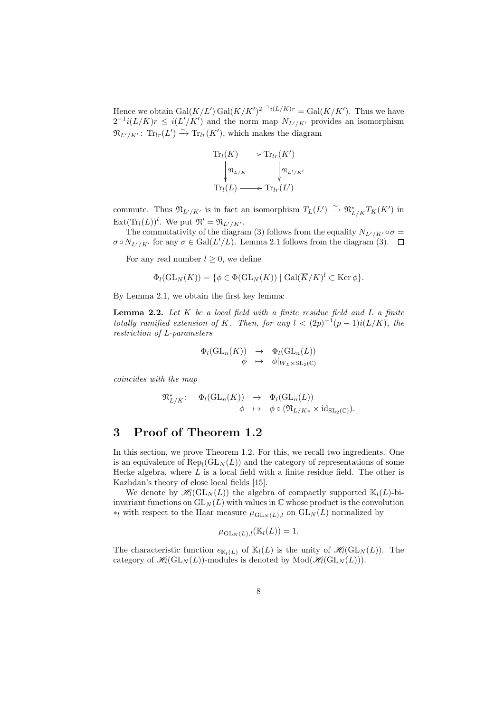Hence we obtain  $Gal(\overline{K}/L')\,Gal(\overline{K}/K')^{2^{-1}i(L/K)r} = Gal(\overline{K}/K')$ . Thus we have  $2^{-1}i(L/K)r \leq i(L'/K')$  and the norm map  $N_{L'/K'}$  provides an isomorphism  $\mathfrak{N}_{L'/K'}$ :  $\text{Tr}_{lr}(L') \xrightarrow{\sim} \text{Tr}_{lr}(K')$ , which makes the diagram

$$
\operatorname{Tr}_{l}(K) \longrightarrow \operatorname{Tr}_{lr}(K')
$$

$$
\downarrow \operatorname{Tr}_{l}(L) \longrightarrow \operatorname{Tr}_{lr}(L')
$$

$$
\operatorname{Tr}_{l}(L) \longrightarrow \operatorname{Tr}_{lr}(L')
$$

commute. Thus  $\mathfrak{N}_{L'/K'}$  is in fact an isomorphism  $T_L(L') \xrightarrow{\sim} \mathfrak{N}_{L/K}^* T_K(K')$  in  $\text{Ext}(\text{Tr}_{l}(L))^{l}$ . We put  $\mathfrak{N}' = \mathfrak{N}_{L'/K'}$ .

The commutativity of the diagram (3) follows from the equality  $N_{L'/K'} \circ \sigma =$  $\sigma \circ N_{L'/K'}$  for any  $\sigma \in \text{Gal}(L'/L)$ . Lemma 2.1 follows from the diagram (3).

For any real number  $l \geq 0$ , we define

$$
\Phi_l(\mathrm{GL}_N(K)) = \{ \phi \in \Phi(\mathrm{GL}_N(K)) \mid \mathrm{Gal}(\overline{K}/K)^l \subset \mathrm{Ker} \, \phi \}.
$$

By Lemma 2.1, we obtain the first key lemma:

**Lemma 2.2.** *Let K be a local field with a finite residue field and L a finite totally ramified extension of K.* Then, for any  $l < (2p)^{-1}(p-1)i(L/K)$ , the *restriction of L-parameters*

$$
\begin{array}{rcl}\n\Phi_l(\mathrm{GL}_n(K)) & \to & \Phi_l(\mathrm{GL}_n(L)) \\
\phi & \mapsto & \phi|_{W_L \times \mathrm{SL}_2(\mathbb{C})}\n\end{array}
$$

*coincides with the map*

$$
\mathfrak{N}_{L/K}^* : \quad \Phi_l(\mathrm{GL}_n(K)) \quad \to \quad \Phi_l(\mathrm{GL}_n(L))
$$

$$
\phi \quad \mapsto \quad \phi \circ (\mathfrak{N}_{L/K*} \times \mathrm{id}_{\mathrm{SL}_2(\mathbb{C})}).
$$

# **3 Proof of Theorem 1.2**

In this section, we prove Theorem 1.2. For this, we recall two ingredients. One is an equivalence of  $\text{Rep}_{l}(\text{GL}_{N}(L))$  and the category of representations of some Hecke algebra, where *L* is a local field with a finite residue field. The other is Kazhdan's theory of close local fields [15].

We denote by  $\mathcal{H}_l(\mathrm{GL}_N(L))$  the algebra of compactly supported  $\mathbb{K}_l(L)$ -biinvariant functions on  $GL_N(L)$  with values in  $\mathbb C$  whose product is the convolution *\*l* with respect to the Haar measure  $\mu_{\text{GL}_N(L),l}$  on  $\text{GL}_N(L)$  normalized by

$$
\mu_{\mathrm{GL}_N(L),l}(\mathbb{K}_l(L))=1.
$$

The characteristic function  $e_{K_l(L)}$  of  $\mathbb{K}_l(L)$  is the unity of  $\mathcal{H}_l(\mathrm{GL}_N(L))$ . The category of  $\mathcal{H}_l(\mathrm{GL}_N(L))$ -modules is denoted by  $\mathrm{Mod}(\mathcal{H}_l(\mathrm{GL}_N(L)))$ .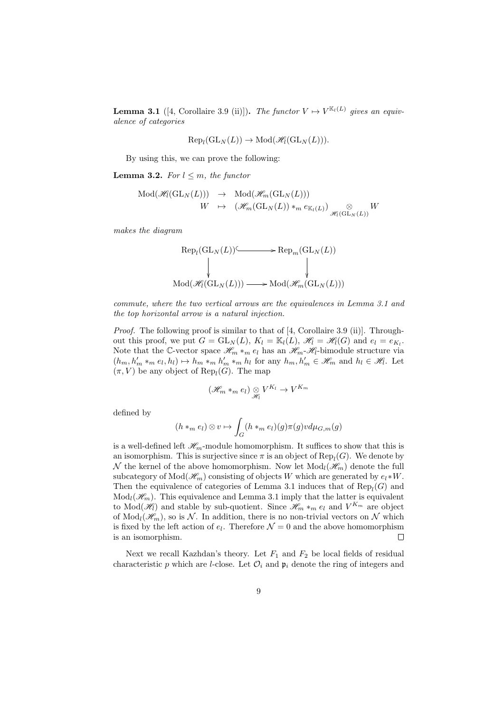**Lemma 3.1** ([4, Corollaire 3.9 (ii)]). *The functor*  $V \mapsto V^{\mathbb{K}_l(L)}$  gives an equiv*alence of categories*

$$
Rep_l(GL_N(L)) \to Mod(\mathscr{H}_l(GL_N(L))).
$$

By using this, we can prove the following:

**Lemma 3.2.** *For*  $l \leq m$ *, the functor* 

$$
\begin{array}{rcl}\n\operatorname{Mod}(\mathcal{H}_{l}(\operatorname{GL}_{N}(L))) & \to & \operatorname{Mod}(\mathcal{H}_{m}(\operatorname{GL}_{N}(L))) \\
W & \mapsto & (\mathcal{H}_{m}(\operatorname{GL}_{N}(L)) \ast_{m} e_{\mathbb{K}_{l}(L)}) \underset{\mathcal{H}_{l}(\operatorname{GL}_{N}(L))}{\otimes} W\n\end{array}
$$

*makes the diagram*

$$
\begin{array}{ccc}\n\operatorname{Rep}_l(\operatorname{GL}_N(L)) & \longrightarrow & \operatorname{Rep}_m(\operatorname{GL}_N(L)) \\
\downarrow & & \downarrow \\
\operatorname{Mod}(\mathcal{H}_l(\operatorname{GL}_N(L))) & \longrightarrow & \operatorname{Mod}(\mathcal{H}_m(\operatorname{GL}_N(L)))\n\end{array}
$$

*commute, where the two vertical arrows are the equivalences in Lemma 3.1 and the top horizontal arrow is a natural injection.*

*Proof.* The following proof is similar to that of [4, Corollaire 3.9 (ii)]. Throughout this proof, we put  $G = GL_N(L)$ ,  $K_l = \mathbb{K}_l(L)$ ,  $\mathcal{H}_l = \mathcal{H}_l(G)$  and  $e_l = e_{K_l}$ . Note that the C-vector space  $\mathcal{H}_m *_{m} e_l$  has an  $\mathcal{H}_m$ - $\mathcal{H}_l$ -bimodule structure via  $(h_m, h'_m *_{m} e_l, h_l) \mapsto h_m *_{m} h'_m *_{m} h_l$  for any  $h_m, h'_m \in \mathcal{H}_m$  and  $h_l \in \mathcal{H}_l$ . Let  $(\pi, V)$  be any object of  $\text{Rep}_{l}(G)$ . The map

$$
(\mathcal{H}_m *_{m} e_l) \underset{\mathcal{H}_l}{\otimes} V^{K_l} \to V^{K_m}
$$

defined by

$$
(h *_{m} e_{l}) \otimes v \mapsto \int_{G} (h *_{m} e_{l})(g) \pi(g) v d\mu_{G,m}(g)
$$

is a well-defined left  $\mathcal{H}_m$ -module homomorphism. It suffices to show that this is an isomorphism. This is surjective since  $\pi$  is an object of  $\text{Rep}_{l}(G)$ . We denote by *N* the kernel of the above homomorphism. Now let  $Mod_l(\mathcal{H}_m)$  denote the full subcategory of  $Mod(\mathcal{H}_m)$  consisting of objects *W* which are generated by  $e_l * W$ . Then the equivalence of categories of Lemma 3.1 induces that of  $\text{Rep}_{l}(G)$  and  $Mod_l(\mathcal{H}_m)$ . This equivalence and Lemma 3.1 imply that the latter is equivalent to  $Mod(\mathcal{H})$  and stable by sub-quotient. Since  $\mathcal{H}_{m} *_{m} e_{l}$  and  $V^{K_{m}}$  are object of  $Mod_l(\mathcal{H}_m)$ , so is N. In addition, there is no non-trivial vectors on N which is fixed by the left action of  $e_l$ . Therefore  $\mathcal{N}=0$  and the above homomorphism is an isomorphism.  $\Box$ 

Next we recall Kazhdan's theory. Let  $F_1$  and  $F_2$  be local fields of residual characteristic p which are *l*-close. Let  $\mathcal{O}_i$  and  $\mathfrak{p}_i$  denote the ring of integers and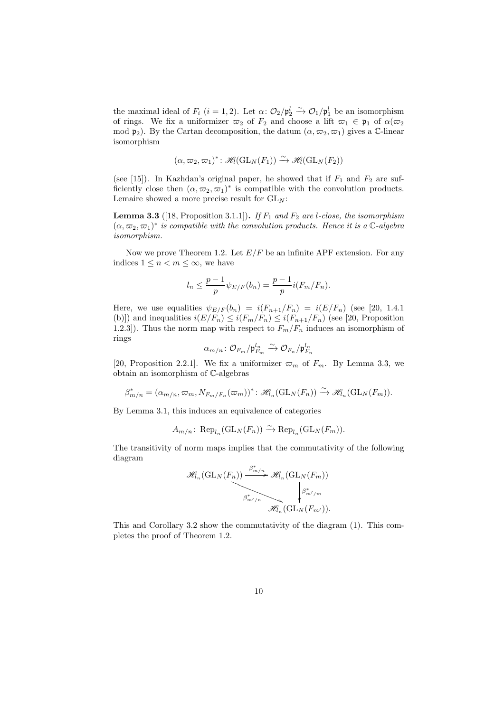the maximal ideal of  $F_i$  ( $i = 1, 2$ ). Let  $\alpha: \mathcal{O}_2/\mathfrak{p}_2^l \xrightarrow{\sim} \mathcal{O}_1/\mathfrak{p}_1^l$  be an isomorphism of rings. We fix a uniformizer  $\varpi_2$  of  $F_2$  and choose a lift  $\varpi_1 \in \mathfrak{p}_1$  of  $\alpha(\varpi_2)$ mod  $\mathfrak{p}_2$ ). By the Cartan decomposition, the datum  $(\alpha, \varpi_2, \varpi_1)$  gives a C-linear isomorphism

$$
(\alpha, \varpi_2, \varpi_1)^* \colon \mathscr{H}_1(\mathrm{GL}_N(F_1)) \xrightarrow{\sim} \mathscr{H}_1(\mathrm{GL}_N(F_2))
$$

(see [15]). In Kazhdan's original paper, he showed that if  $F_1$  and  $F_2$  are sufficiently close then  $(\alpha, \varpi_2, \varpi_1)^*$  is compatible with the convolution products. Lemaire showed a more precise result for  $GL_N$ :

**Lemma 3.3** ([18, Proposition 3.1.1]). If  $F_1$  and  $F_2$  are *l*-close, the isomorphism  $(\alpha, \varpi_2, \varpi_1)^*$  *is compatible with the convolution products. Hence it is a*  $\mathbb{C}$ -algebra *isomorphism.*

Now we prove Theorem 1.2. Let  $E/F$  be an infinite APF extension. For any indices  $1 \leq n < m \leq \infty$ , we have

$$
l_n \le \frac{p-1}{p} \psi_{E/F}(b_n) = \frac{p-1}{p} i(F_m/F_n).
$$

Here, we use equalities  $\psi_{E/F}(b_n) = i(F_{n+1}/F_n) = i(E/F_n)$  (see [20, 1.4.1] (b)]) and inequalities  $i(E/F_n) \leq i(F_m/F_n) \leq i(F_{n+1}/F_n)$  (see [20, Proposition 1.2.3]). Thus the norm map with respect to  $F_m/F_n$  induces an isomorphism of rings

$$
\alpha_{m/n}\colon {\mathcal O}_{F_m}/{\mathfrak p}_{F_m}^{l_n} \stackrel{\sim}{\to} {\mathcal O}_{F_n}/{\mathfrak p}_{F_n}^{l_n}
$$

[20, Proposition 2.2.1]. We fix a uniformizer  $\varpi_m$  of  $F_m$ . By Lemma 3.3, we obtain an isomorphism of C-algebras

 $\beta^*_{m/n} = (\alpha_{m/n}, \varpi_m, N_{F_m/F_n}(\varpi_m))^* : \mathscr{H}_n(\mathrm{GL}_N(F_n)) \xrightarrow{\sim} \mathscr{H}_n(\mathrm{GL}_N(F_m)).$ 

By Lemma 3.1, this induces an equivalence of categories

$$
A_{m/n}
$$
:  $\text{Rep}_{l_n}(\text{GL}_N(F_n)) \xrightarrow{\sim} \text{Rep}_{l_n}(\text{GL}_N(F_m)).$ 

The transitivity of norm maps implies that the commutativity of the following diagram

$$
\mathscr{H}_{{l}_n}(\mathrm{GL}_N(F_n)) \xrightarrow{\beta^*_{m/n}} \mathscr{H}_{{l}_n}(\mathrm{GL}_N(F_m)) \atop \beta^*_{m'/n} \searrow \psi \atop \mathscr{H}_{{l}_n}(\mathrm{GL}_N(F_{m'})).
$$

This and Corollary 3.2 show the commutativity of the diagram (1). This completes the proof of Theorem 1.2.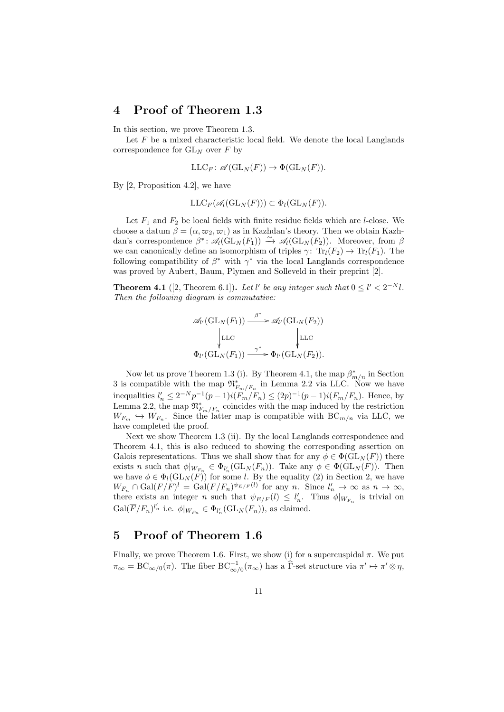#### **4 Proof of Theorem 1.3**

In this section, we prove Theorem 1.3.

Let *F* be a mixed characteristic local field. We denote the local Langlands correspondence for GL*<sup>N</sup>* over *F* by

$$
\mathop{\mathrm{LLC}}\nolimits_F: \mathscr{A}(\mathop{\mathrm{GL}}\nolimits_N(F)) \to \Phi(\mathop{\mathrm{GL}}\nolimits_N(F)).
$$

By [2, Proposition 4.2], we have

$$
\mathop{\mathrm{LLC}}\nolimits_F(\mathscr{A}_l(\mathop{\mathrm{GL}}\nolimits_N(F))) \subset \Phi_l(\mathop{\mathrm{GL}}\nolimits_N(F)).
$$

Let  $F_1$  and  $F_2$  be local fields with finite residue fields which are *l*-close. We choose a datum  $\beta = (\alpha, \varpi_2, \varpi_1)$  as in Kazhdan's theory. Then we obtain Kazhdan's correspondence  $\beta^*$ :  $\mathscr{A}_l(\mathrm{GL}_N(F_1)) \stackrel{\sim}{\to} \mathscr{A}_l(\mathrm{GL}_N(F_2))$ . Moreover, from  $\beta$ we can canonically define an isomorphism of triples  $\gamma$ : Tr<sub>l</sub>( $F_2$ )  $\rightarrow$  Tr<sub>l</sub>( $F_1$ ). The following compatibility of  $\beta^*$  with  $\gamma^*$  via the local Langlands correspondence was proved by Aubert, Baum, Plymen and Solleveld in their preprint [2].

**Theorem 4.1** ([2, Theorem 6.1]). Let *l'* be any integer such that  $0 \le l' < 2^{-N}l$ . *Then the following diagram is commutative:*

$$
\mathscr{A}_{l'}(\mathrm{GL}_N(F_1)) \xrightarrow{\beta^*} \mathscr{A}_{l'}(\mathrm{GL}_N(F_2))
$$
\n
$$
\downarrow_{\mathrm{LLC}} \qquad \qquad \downarrow_{\mathrm{LLC}}
$$
\n
$$
\Phi_{l'}(\mathrm{GL}_N(F_1)) \xrightarrow{\gamma^*} \Phi_{l'}(\mathrm{GL}_N(F_2)).
$$

Now let us prove Theorem 1.3 (i). By Theorem 4.1, the map *β ∗ m/n* in Section 3 is compatible with the map  $\mathfrak{N}_{F_m/F_n}^*$  in Lemma 2.2 via LLC. Now we have inequalities  $l'_n \leq 2^{-N} p^{-1} (p-1) i(F_m/F_n) \leq (2p)^{-1} (p-1) i(F_m/F_n)$ . Hence, by Lemma 2.2, the map  $\mathfrak{M}^*_{F_m/F_n}$  coincides with the map induced by the restriction  $W_{F_m} \hookrightarrow W_{F_n}$ . Since the latter map is compatible with  $BC_{m/n}$  via LLC, we have completed the proof.

Next we show Theorem 1.3 (ii). By the local Langlands correspondence and Theorem 4.1, this is also reduced to showing the corresponding assertion on Galois representations. Thus we shall show that for any  $\phi \in \Phi(\mathrm{GL}_N(F))$  there exists *n* such that  $\phi|_{W_{F_n}} \in \Phi_{l'_n}(\mathrm{GL}_N(F_n))$ . Take any  $\phi \in \Phi(\mathrm{GL}_N(F))$ . Then we have  $\phi \in \Phi_l(\mathrm{GL}_N(F))$  for some *l*. By the equality (2) in Section 2, we have  $W_{F_n} \cap \text{Gal}(\overline{F}/F)^l = \text{Gal}(\overline{F}/F_n)^{\psi_{E/F}(l)}$  for any *n*. Since  $l'_n \to \infty$  as  $n \to \infty$ , there exists an integer *n* such that  $\psi_{E/F}(l) \leq l'_n$ . Thus  $\phi|_{W_{F_n}}$  is trivial on  $Gal(\overline{F}/F_n)^{l'_n}$  i.e.  $\phi|_{W_{F_n}} \in \Phi_{l'_n}(\mathrm{GL}_N(F_n))$ , as claimed.

## **5 Proof of Theorem 1.6**

Finally, we prove Theorem 1.6. First, we show (i) for a supercuspidal  $\pi$ . We put  $\pi_{\infty} = BC_{\infty/0}(\pi)$ . The fiber  $BC_{\infty/0}^{-1}(\pi_{\infty})$  has a  $\widehat{\Gamma}$ -set structure via  $\pi' \mapsto \pi' \otimes \eta$ ,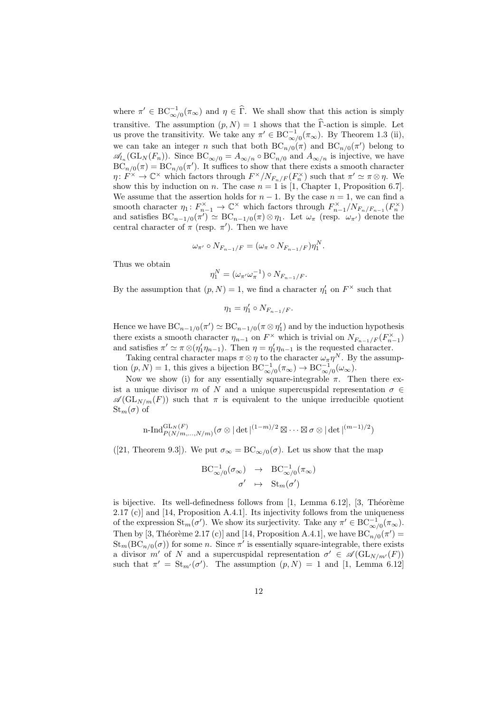where  $\pi' \in BC^{-1}_{\infty/0}(\pi_{\infty})$  and  $\eta \in \widehat{\Gamma}$ . We shall show that this action is simply transitive. The assumption  $(p, N) = 1$  shows that the  $\widehat{\Gamma}$ -action is simple. Let us prove the transitivity. We take any  $\pi' \in BC^{-1}_{\infty/0}(\pi_{\infty})$ . By Theorem 1.3 (ii), we can take an integer *n* such that both  $BC_{n/0}(\pi)$  and  $BC_{n/0}(\pi')$  belong to  $\mathscr{A}_{n}(\text{GL}_N(F_n))$ . Since  $BC_{\infty/0} = A_{\infty/n} \circ BC_{n/0}$  and  $A_{\infty/n}$  is injective, we have  $BC_{n/0}(\pi) = BC_{n/0}(\pi')$ . It suffices to show that there exists a smooth character  $\eta: F^{\times} \to \mathbb{C}^{\times}$  which factors through  $F^{\times}/N_{F_n/F}(F_n^{\times})$  such that  $\pi' \simeq \pi \otimes \eta$ . We show this by induction on *n*. The case  $n = 1$  is [1, Chapter 1, Proposition 6.7]. We assume that the assertion holds for  $n-1$ . By the case  $n=1$ , we can find a smooth character  $\eta_1: F_{n-1}^{\times} \to \mathbb{C}^{\times}$  which factors through  $F_{n-1}^{\times}/N_{F_n/F_{n-1}}(F_n^{\times})$ and satisfies  $BC_{n-1/0}(\pi') \simeq BC_{n-1/0}(\pi) \otimes \eta_1$ . Let  $\omega_{\pi}$  (resp.  $\omega_{\pi'}$ ) denote the central character of  $\pi$  (resp.  $\pi'$ ). Then we have

$$
\omega_{\pi'} \circ N_{F_{n-1}/F} = (\omega_{\pi} \circ N_{F_{n-1}/F})\eta_1^N.
$$

Thus we obtain

$$
\eta_1^N = (\omega_{\pi'} \omega_{\pi}^{-1}) \circ N_{F_{n-1}/F}.
$$

By the assumption that  $(p, N) = 1$ , we find a character  $\eta'_1$  on  $F^\times$  such that

$$
\eta_1=\eta_1'\circ N_{F_{n-1}/F}.
$$

Hence we have  $BC_{n-1/0}(\pi') \simeq BC_{n-1/0}(\pi \otimes \eta'_1)$  and by the induction hypothesis there exists a smooth character  $\eta_{n-1}$  on  $F^{\times}$  which is trivial on  $N_{F_{n-1}/F}(F^{\times}_{n-1})$ and satisfies  $\pi' \simeq \pi \otimes (\eta'_1 \eta_{n-1})$ . Then  $\eta = \eta'_1 \eta_{n-1}$  is the requested character.

Taking central character maps  $\pi \otimes \eta$  to the character  $\omega_{\pi} \eta^{N}$ . By the assumption  $(p, N) = 1$ , this gives a bijection  $BC^{-1}_{\infty/0}(\pi_{\infty}) \to BC^{-1}_{\infty/0}(\omega_{\infty})$ .

Now we show (i) for any essentially square-integrable  $\pi$ . Then there exist a unique divisor *m* of *N* and a unique supercuspidal representation  $\sigma \in$  $\mathscr{A}(\mathrm{GL}_{N/m}(F))$  such that  $\pi$  is equivalent to the unique irreducible quotient  $St_m(\sigma)$  of

n-Ind<sub>P(N/m,...,N/m)</sub>
$$
(\sigma \otimes |\det|^{(1-m)/2} \boxtimes ... \boxtimes \sigma \otimes |\det|^{(m-1)/2})
$$

([21, Theorem 9.3]). We put  $\sigma_{\infty} = BC_{\infty/0}(\sigma)$ . Let us show that the map

$$
\text{BC}_{\infty/0}^{-1}(\sigma_{\infty}) \rightarrow \text{BC}_{\infty/0}^{-1}(\pi_{\infty})
$$

$$
\sigma' \rightarrow \text{St}_{m}(\sigma')
$$

is bijective. Its well-definedness follows from  $[1, \text{ Lemma } 6.12], [3, \text{Theorem}]$ 2.17 (c)] and [14, Proposition A.4.1]. Its injectivity follows from the uniqueness of the expression  $\text{St}_m(\sigma')$ . We show its surjectivity. Take any  $\pi' \in \text{BC}_{\infty/0}^{-1}(\pi_{\infty})$ . Then by [3, Théorème 2.17 (c)] and [14, Proposition A.4.1], we have  $BC_{n/0}(\pi') =$  $\text{St}_{m}(\text{BC}_{n/0}(\sigma))$  for some *n*. Since  $\pi'$  is essentially square-integrable, there exists a divisor *m'* of *N* and a supercuspidal representation  $\sigma' \in \mathcal{A}(\mathrm{GL}_{N/m'}(F))$ such that  $\pi' = \text{St}_{m'}(\sigma')$ . The assumption  $(p, N) = 1$  and [1, Lemma 6.12]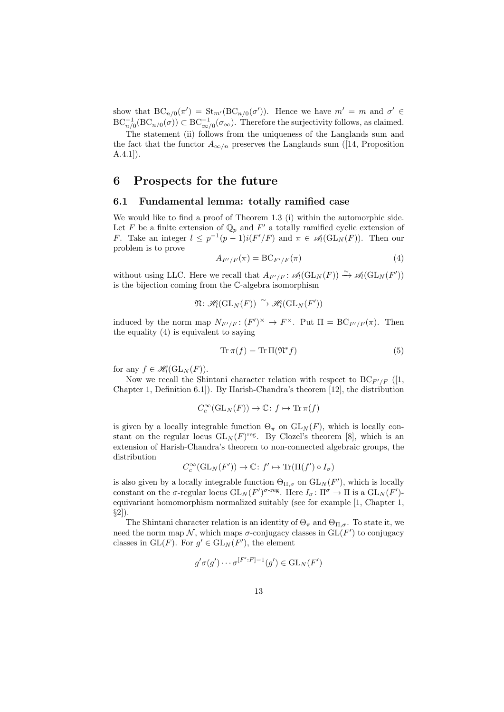show that  $BC_{n/0}(\pi') = St_{m'}(BC_{n/0}(\sigma'))$ . Hence we have  $m' = m$  and  $\sigma' \in$  $\mathrm{BC}_{n/0}^{-1}(\mathrm{BC}_{n/0}(\sigma)) \subset \mathrm{BC}_{\infty/0}^{-1}(\sigma_{\infty})$ . Therefore the surjectivity follows, as claimed.

The statement (ii) follows from the uniqueness of the Langlands sum and the fact that the functor  $A_{\infty/n}$  preserves the Langlands sum ([14, Proposition A.4.1]).

#### **6 Prospects for the future**

#### **6.1 Fundamental lemma: totally ramified case**

We would like to find a proof of Theorem 1.3 (i) within the automorphic side. Let F be a finite extension of  $\mathbb{Q}_p$  and F' a totally ramified cyclic extension of *F*. Take an integer  $l \leq p^{-1}(p-1)i(F'/F)$  and  $\pi \in \mathcal{A}_l(\mathrm{GL}_N(F))$ . Then our problem is to prove

$$
A_{F'/F}(\pi) = \mathrm{BC}_{F'/F}(\pi) \tag{4}
$$

without using LLC. Here we recall that  $A_{F'/F}: \mathscr{A}_l(\mathrm{GL}_N(F)) \xrightarrow{\sim} \mathscr{A}_l(\mathrm{GL}_N(F'))$ is the bijection coming from the C-algebra isomorphism

$$
\mathfrak{N} \colon \mathscr{H}_l(\mathrm{GL}_N(F)) \xrightarrow{\sim} \mathscr{H}_l(\mathrm{GL}_N(F'))
$$

induced by the norm map  $N_{F'/F}: (F')^{\times} \to F^{\times}$ . Put  $\Pi = BC_{F'/F}(\pi)$ . Then the equality (4) is equivalent to saying

$$
\operatorname{Tr} \pi(f) = \operatorname{Tr} \Pi(\mathfrak{N}^* f) \tag{5}
$$

for any  $f \in \mathscr{H}_l(\mathrm{GL}_N(F))$ .

Now we recall the Shintani character relation with respect to  $BC_{F'/F}$  ([1, Chapter 1, Definition 6.1]). By Harish-Chandra's theorem [12], the distribution

$$
C_c^{\infty}(\mathrm{GL}_N(F)) \to \mathbb{C} : f \mapsto \mathrm{Tr}\,\pi(f)
$$

is given by a locally integrable function  $\Theta_{\pi}$  on  $GL_N(F)$ , which is locally constant on the regular locus  $GL_N(F)$ <sup>reg</sup>. By Clozel's theorem [8], which is an extension of Harish-Chandra's theorem to non-connected algebraic groups, the distribution

$$
C_c^{\infty}(\mathrm{GL}_N(F')) \to \mathbb{C} : f' \mapsto \mathrm{Tr}(\Pi(f') \circ I_{\sigma})
$$

is also given by a locally integrable function  $\Theta_{\Pi,\sigma}$  on  $GL_N(F')$ , which is locally constant on the *σ*-regular locus  $GL_N(F')^{\sigma\text{-reg}}$ . Here  $I_\sigma: \Pi^\sigma \to \Pi$  is a  $GL_N(F')$ equivariant homomorphism normalized suitably (see for example [1, Chapter 1, *§*2]).

The Shintani character relation is an identity of  $\Theta_{\pi}$  and  $\Theta_{\Pi,\sigma}$ . To state it, we need the norm map  $N$ , which maps  $\sigma$ -conjugacy classes in  $GL(F')$  to conjugacy classes in  $GL(F)$ . For  $g' \in GL_N(F')$ , the element

$$
g'\sigma(g')\cdots\sigma^{[F':F]-1}(g')\in\operatorname{GL}_N(F')
$$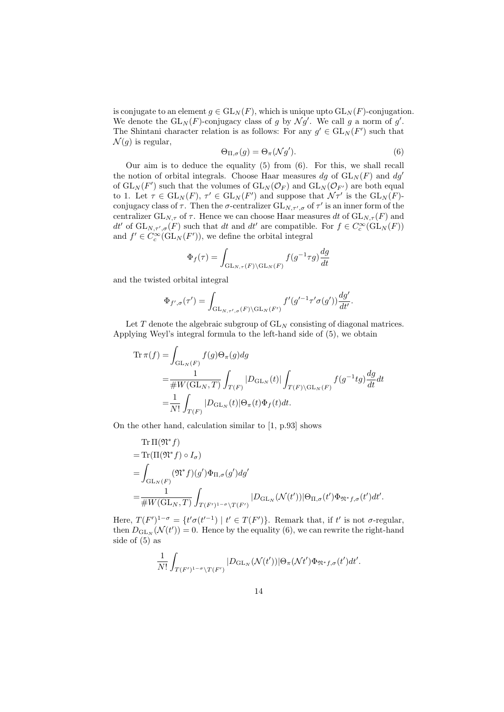is conjugate to an element  $g \in GL_N(F)$ , which is unique upto  $GL_N(F)$ -conjugation. We denote the  $GL_N(F)$ -conjugacy class of *g* by  $\mathcal{N}g'$ . We call *g* a norm of *g*'. The Shintani character relation is as follows: For any  $g' \in GL<sub>N</sub>(F')$  such that  $\mathcal{N}(q)$  is regular,

$$
\Theta_{\Pi,\sigma}(g) = \Theta_{\pi}(\mathcal{N}g'). \tag{6}
$$

Our aim is to deduce the equality (5) from (6). For this, we shall recall the notion of orbital integrals. Choose Haar measures  $dg$  of  $GL_N(F)$  and  $dg'$ of  $GL_N(F')$  such that the volumes of  $GL_N(\mathcal{O}_F)$  and  $GL_N(\mathcal{O}_{F'})$  are both equal to 1. Let  $\tau \in GL_N(F)$ ,  $\tau' \in GL_N(F')$  and suppose that  $\mathcal{N}\tau'$  is the  $GL_N(F)$ conjugacy class of  $\tau$ . Then the  $\sigma$ -centralizer  $GL_{N,\tau',\sigma}$  of  $\tau'$  is an inner form of the centralizer  $GL_{N,\tau}$  of  $\tau$ . Hence we can choose Haar measures dt of  $GL_{N,\tau}(F)$  and *dt'* of  $GL_{N,\tau',\sigma}(F)$  such that *dt* and *dt'* are compatible. For  $f \in C_c^{\infty}(\mathrm{GL}_N(F))$ and  $f' \in C_c^{\infty}(\mathrm{GL}_N(F'))$ , we define the orbital integral

$$
\Phi_f(\tau) = \int_{\operatorname{GL}_{N,\tau}(F)\backslash \operatorname{GL}_N(F)} f(g^{-1}\tau g) \frac{dg}{dt}
$$

and the twisted orbital integral

$$
\Phi_{f',\sigma}(\tau') = \int_{\mathrm{GL}_{N,\tau',\sigma}(F)\backslash \mathrm{GL}_N(F')} f'(g'^{-1}\tau'\sigma(g'))\frac{dg'}{dt'}.
$$

Let  $T$  denote the algebraic subgroup of  $GL_N$  consisting of diagonal matrices. Applying Weyl's integral formula to the left-hand side of (5), we obtain

$$
\begin{split} \mathrm{Tr}\, \pi(f) =& \int_{\mathrm{GL}_N(F)} f(g) \Theta_\pi(g) dg \\ =& \frac{1}{\# W(\mathrm{GL}_N, T)} \int_{T(F)} |D_{\mathrm{GL}_N}(t)| \int_{T(F) \backslash \mathrm{GL}_N(F)} f(g^{-1}tg) \frac{dg}{dt} dt \\ =& \frac{1}{N!} \int_{T(F)} |D_{\mathrm{GL}_N}(t)| \Theta_\pi(t) \Phi_f(t) dt. \end{split}
$$

On the other hand, calculation similar to [1, p.93] shows

Tr 
$$
\Pi(\mathfrak{N}^* f)
$$
  
\n= Tr $(\Pi(\mathfrak{N}^* f) \circ I_{\sigma})$   
\n=  $\int_{GL_N(F)} (\mathfrak{N}^* f)(g') \Phi_{\Pi, \sigma}(g') dg'$   
\n=  $\frac{1}{\# W(GL_N, T)} \int_{T(F')^{1-\sigma} \backslash T(F')} |D_{\mathrm{GL}_N}(\mathcal{N}(t'))| \Theta_{\Pi, \sigma}(t') \Phi_{\mathfrak{N}^* f, \sigma}(t') dt'.$ 

Here,  $T(F')^{1-\sigma} = \{t'\sigma(t'^{-1}) \mid t' \in T(F')\}$ . Remark that, if t' is not  $\sigma$ -regular, then  $D_{\mathrm{GL}_N}(\mathcal{N}(t'))=0$ . Hence by the equality (6), we can rewrite the right-hand side of (5) as

$$
\frac{1}{N!} \int_{T(F')^{1-\sigma} \backslash T(F')} |D_{\mathrm{GL}_N}(\mathcal{N}(t'))| \Theta_{\pi}(\mathcal{N}t') \Phi_{\mathfrak{N}^*f,\sigma}(t') dt'.
$$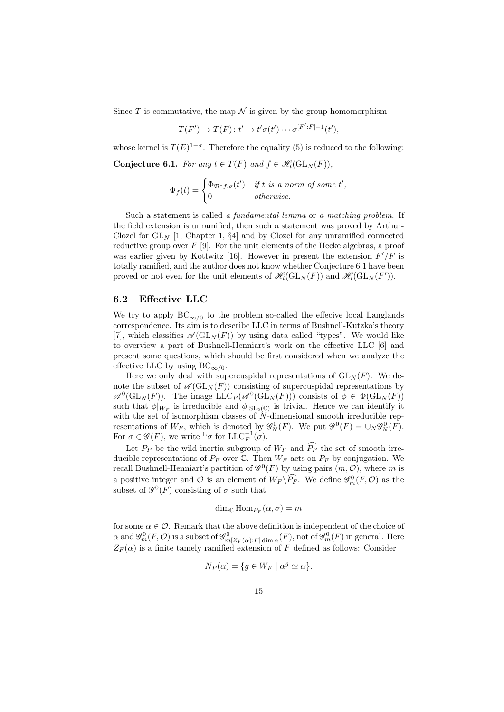Since  $T$  is commutative, the map  $\mathcal N$  is given by the group homomorphism

$$
T(F') \to T(F) : t' \mapsto t'\sigma(t') \cdots \sigma^{[F':F]-1}(t'),
$$

whose kernel is  $T(E)^{1-\sigma}$ . Therefore the equality (5) is reduced to the following:

**Conjecture 6.1.** *For any*  $t \in T(F)$  *and*  $f \in \mathcal{H}_l(\mathrm{GL}_N(F))$ *,* 

$$
\Phi_f(t) = \begin{cases} \Phi_{\mathfrak{N}^*f,\sigma}(t') & \text{if } t \text{ is a norm of some } t', \\ 0 & \text{otherwise.} \end{cases}
$$

Such a statement is called *a fundamental lemma* or *a matching problem*. If the field extension is unramified, then such a statement was proved by Arthur-Clozel for  $GL_N$  [1, Chapter 1, §4] and by Clozel for any unramified connected reductive group over *F* [9]. For the unit elements of the Hecke algebras, a proof was earlier given by Kottwitz [16]. However in present the extension *F ′/F* is totally ramified, and the author does not know whether Conjecture 6.1 have been proved or not even for the unit elements of  $\mathscr{H}_l(\mathrm{GL}_N(F))$  and  $\mathscr{H}_l(\mathrm{GL}_N(F'))$ .

#### **6.2 Effective LLC**

We try to apply  $BC_{\infty/0}$  to the problem so-called the effecive local Langlands correspondence. Its aim is to describe LLC in terms of Bushnell-Kutzko's theory [7], which classifies  $\mathscr{A}(\mathrm{GL}_N(F))$  by using data called "types". We would like to overview a part of Bushnell-Henniart's work on the effective LLC [6] and present some questions, which should be first considered when we analyze the effective LLC by using  $BC_{\infty/0}$ .

Here we only deal with supercuspidal representations of  $GL<sub>N</sub>(F)$ . We denote the subset of  $\mathscr{A}(\mathrm{GL}_N(F))$  consisting of supercuspidal representations by  $\mathscr{A}^0(\text{GL}_N(F))$ . The image  $\text{LLC}_F(\mathscr{A}^0(\text{GL}_N(F)))$  consists of  $\phi \in \Phi(\text{GL}_N(F))$ such that  $\phi|_{W_F}$  is irreducible and  $\phi|_{SL_2(\mathbb{C})}$  is trivial. Hence we can identify it with the set of isomorphism classes of  $N$ -dimensional smooth irreducible representations of  $W_F$ , which is denoted by  $\mathscr{G}_N^0(F)$ . We put  $\mathscr{G}_N^0(F) = \cup_N \mathscr{G}_N^0(F)$ . For  $\sigma \in \mathscr{G}(F)$ , we write <sup>L</sup> $\sigma$  for LLC<sup>-1</sup> $(\sigma)$ .

Let  $P_F$  be the wild inertia subgroup of  $W_F$  and  $\widehat{P_F}$  the set of smooth irreducible representations of  $P_F$  over  $\mathbb{C}$ . Then  $W_F$  acts on  $P_F$  by conjugation. We recall Bushnell-Henniart's partition of  $\mathscr{G}^0(F)$  by using pairs  $(m, \mathcal{O})$ , where *m* is a positive integer and  $\mathcal O$  is an element of  $W_F \backslash \widehat{P_F}$ . We define  $\mathscr G_m^0(F, \mathcal O)$  as the subset of  $\mathscr{G}^0(F)$  consisting of  $\sigma$  such that

$$
\dim_{\mathbb{C}} \operatorname{Hom}_{P_F}(\alpha, \sigma) = m
$$

for some  $\alpha \in \mathcal{O}$ . Remark that the above definition is independent of the choice of  $\alpha$  and  $\mathscr{G}_{m}^{0}(F,\mathcal{O})$  is a subset of  $\mathscr{G}_{m[Z_F(\alpha):F] \dim \alpha}^{0}(F)$ , not of  $\mathscr{G}_{m}^{0}(F)$  in general. Here  $Z_F(\alpha)$  is a finite tamely ramified extension of *F* defined as follows: Consider

$$
N_F(\alpha) = \{ g \in W_F \mid \alpha^g \simeq \alpha \}.
$$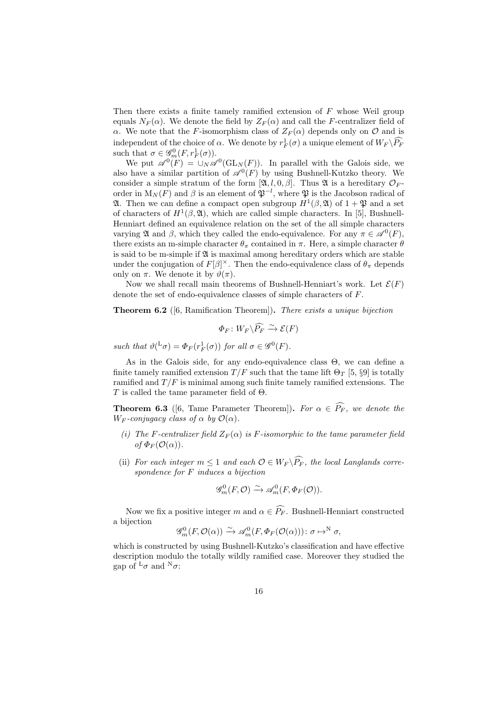Then there exists a finite tamely ramified extension of *F* whose Weil group equals  $N_F(\alpha)$ . We denote the field by  $Z_F(\alpha)$  and call the *F*-centralizer field of *α*. We note that the *F*-isomorphism class of  $Z_F(\alpha)$  depends only on *O* and is independent of the choice of *α*. We denote by  $r_F^1(\sigma)$  a unique element of  $W_F \backslash \widehat{P_F}$ such that  $\sigma \in \mathscr{G}_m^0(F, r_F^1(\sigma))$ .

We put  $\mathscr{A}^0(F) = \bigcup_N \mathscr{A}^0(\mathrm{GL}_N(F))$ . In parallel with the Galois side, we also have a similar partition of  $\mathscr{A}^0(F)$  by using Bushnell-Kutzko theory. We consider a simple stratum of the form  $[\mathfrak{A}, l, 0, \beta]$ . Thus  $\mathfrak{A}$  is a hereditary  $\mathcal{O}_F$ . order in  $M_N(F)$  and  $\beta$  is an element of  $\mathfrak{P}^{-l}$ , where  $\mathfrak{P}$  is the Jacobson radical of **21.** Then we can define a compact open subgroup  $H^1(\beta, \mathfrak{A})$  of  $1 + \mathfrak{P}$  and a set of characters of  $H^1(\beta, \mathfrak{A})$ , which are called simple characters. In [5], Bushnell-Henniart defined an equivalence relation on the set of the all simple characters varying **2** and *β*, which they called the endo-equivalence. For any *π* ∈  $\mathscr{A}^0(F)$ , there exists an m-simple character  $\theta_{\pi}$  contained in  $\pi$ . Here, a simple character  $\theta$ is said to be m-simple if  $\mathfrak A$  is maximal among hereditary orders which are stable under the conjugation of  $F[\beta]^\times$ . Then the endo-equivalence class of  $\theta_\pi$  depends only on  $\pi$ . We denote it by  $\vartheta(\pi)$ .

Now we shall recall main theorems of Bushnell-Henniart's work. Let  $\mathcal{E}(F)$ denote the set of endo-equivalence classes of simple characters of *F*.

**Theorem 6.2** ([6, Ramification Theorem])**.** *There exists a unique bijection*

$$
\Phi_F\colon W_F\backslash\widehat{P_F}\xrightarrow{\sim}\mathcal E(F)
$$

*such that*  $\vartheta^{L} \sigma$  =  $\Phi_F(r_F^1(\sigma))$  *for all*  $\sigma \in \mathscr{G}^0(F)$ *.* 

As in the Galois side, for any endo-equivalence class  $\Theta$ , we can define a finite tamely ramified extension  $T/F$  such that the tame lift  $\Theta_T$  [5, §9] is totally ramified and  $T/F$  is minimal among such finite tamely ramified extensions. The *T* is called the tame parameter field of Θ.

**Theorem 6.3** ([6, Tame Parameter Theorem]). For  $\alpha \in \widehat{P_F}$ , we denote the *W<sub>F</sub>* -*conjugacy class of*  $\alpha$  *by*  $\mathcal{O}(\alpha)$ *.* 

- *(i)* The F-centralizer field  $Z_F(\alpha)$  is F-isomorphic to the tame parameter field  $of$   $\Phi_F(\mathcal{O}(\alpha)).$
- (ii) *For each integer*  $m \leq 1$  *and each*  $\mathcal{O} \in W_F \backslash \widehat{P_F}$ , the local Langlands corre*spondence for F induces a bijection*

$$
\mathscr{G}^0_m(F,\mathcal{O}) \xrightarrow{\sim} \mathscr{A}^0_m(F,\Phi_F(\mathcal{O})).
$$

Now we fix a positive integer *m* and  $\alpha \in \widehat{P_F}$ . Bushnell-Henniart constructed a bijection

$$
\mathscr{G}^0_m(F,\mathcal{O}(\alpha)) \xrightarrow{\sim} \mathscr{A}^0_m(F,\Phi_F(\mathcal{O}(\alpha)))\colon \sigma \mapsto^N \sigma,
$$

which is constructed by using Bushnell-Kutzko's classification and have effective description modulo the totally wildly ramified case. Moreover they studied the gap of  ${}^{\mathbf{L}}\sigma$  and  ${}^{\mathbf{N}}\sigma$ :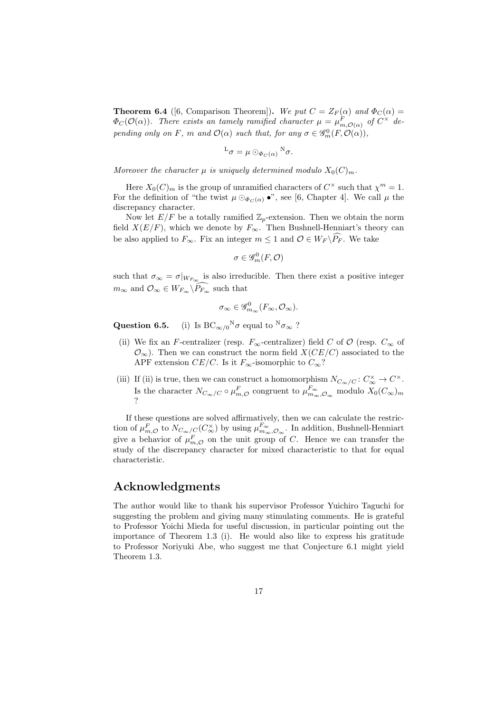**Theorem 6.4** ([6, Comparison Theorem]). We put  $C = Z_F(\alpha)$  and  $\Phi_C(\alpha) =$  $\Phi_C(\mathcal{O}(\alpha))$ *. There exists an tamely ramified character*  $\mu = \mu_{m,\mathcal{O}(\alpha)}^F$  *of*  $C^{\times}$  *depending only on F, m and*  $\mathcal{O}(\alpha)$  *such that, for any*  $\sigma \in \mathscr{G}_m^0(F, \mathcal{O}(\alpha))$ *,* 

$$
L_{\sigma} = \mu \odot_{\Phi_C(\alpha)} {}^{\rm N} \sigma.
$$

*Moreover the character*  $\mu$  *is uniquely determined modulo*  $X_0(C)_m$ *.* 

Here  $X_0(C)_m$  is the group of unramified characters of  $C^{\times}$  such that  $\chi^m = 1$ . For the definition of "the twist  $\mu \odot_{\Phi_C(\alpha)} \bullet$ ", see [6, Chapter 4]. We call  $\mu$  the discrepancy character.

Now let  $E/F$  be a totally ramified  $\mathbb{Z}_p$ -extension. Then we obtain the norm field  $X(E/F)$ , which we denote by  $F_{\infty}$ . Then Bushnell-Henniart's theory can be also applied to  $F_\infty$ . Fix an integer  $m \leq 1$  and  $\mathcal{O} \in W_F \backslash \widehat{P_F}$ . We take

$$
\sigma\in\mathscr{G}^0_m(F,\mathcal{O})
$$

such that  $\sigma_{\infty} = \sigma|_{W_{F_{\infty}}}$  is also irreducible. Then there exist a positive integer  $m_{\infty}$  and  $\mathcal{O}_{\infty} \in W_{F_{\infty}} \backslash P_{F_{\infty}}$  such that

$$
\sigma_{\infty} \in \mathscr{G}_{m_{\infty}}^{0}(F_{\infty}, \mathcal{O}_{\infty}).
$$

**Question 6.5.** (i) Is BC*∞/*<sup>0</sup> (i) Is  $BC_{\infty/0}^N \sigma$  equal to  $^N \sigma_{\infty}$  ?

- (ii) We fix an *F*-centralizer (resp.  $F_\infty$ -centralizer) field *C* of  $\mathcal{O}$  (resp.  $C_\infty$  of  $\mathcal{O}_{\infty}$ ). Then we can construct the norm field *X*(*CE/C*) associated to the APF extension *CE/C*. Is it  $F_\infty$ -isomorphic to  $C_\infty$ ?
- (iii) If (ii) is true, then we can construct a homomorphism  $N_{C_{\infty}/C} : C_{\infty}^{\times} \to C^{\times}$ . Is the character  $N_{C_{\infty}/C} \circ \mu_{m,\mathcal{O}}^F$  congruent to  $\mu_{m_{\infty},\mathcal{O}_{\infty}}^{F_{\infty}}$  modulo  $X_0(C_{\infty})_m$ ?

If these questions are solved affirmatively, then we can calculate the restriction of  $\mu_{m,\mathcal{O}}^F$  to  $N_{C_\infty/C}(C_\infty^\times)$  by using  $\mu_{m_\infty,\mathcal{O}_\infty}^{F_\infty}$ . In addition, Bushnell-Henniart give a behavior of  $\mu_{m,\mathcal{O}}^F$  on the unit group of *C*. Hence we can transfer the study of the discrepancy character for mixed characteristic to that for equal characteristic.

# **Acknowledgments**

The author would like to thank his supervisor Professor Yuichiro Taguchi for suggesting the problem and giving many stimulating comments. He is grateful to Professor Yoichi Mieda for useful discussion, in particular pointing out the importance of Theorem 1.3 (i). He would also like to express his gratitude to Professor Noriyuki Abe, who suggest me that Conjecture 6.1 might yield Theorem 1.3.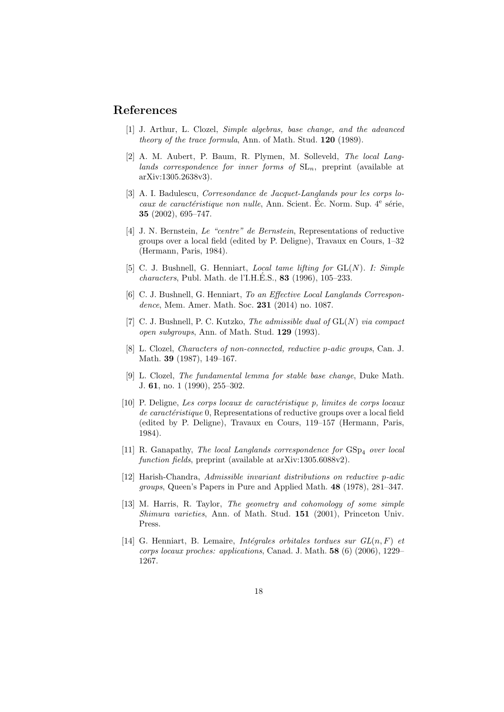# **References**

- [1] J. Arthur, L. Clozel, *Simple algebras, base change, and the advanced theory of the trace formula*, Ann. of Math. Stud. **120** (1989).
- [2] A. M. Aubert, P. Baum, R. Plymen, M. Solleveld, *The local Langlands correspondence for inner forms of*  $SL_n$ , preprint (available at arXiv:1305.2638v3).
- [3] A. I. Badulescu, *Corresondance de Jacquet-Langlands pour les corps locaux de caractéristique non nulle*, Ann. Scient. Éc. Norm. Sup. 4<sup>e</sup> série, **35** (2002), 695–747.
- [4] J. N. Bernstein, *Le "centre" de Bernstein*, Representations of reductive groups over a local field (edited by P. Deligne), Travaux en Cours, 1–32 (Hermann, Paris, 1984).
- [5] C. J. Bushnell, G. Henniart, *Local tame lifting for* GL(*N*)*. I: Simple characters*, Publ. Math. de l'I.H.E.S., ´ **83** (1996), 105–233.
- [6] C. J. Bushnell, G. Henniart, *To an Effective Local Langlands Correspondence*, Mem. Amer. Math. Soc. **231** (2014) no. 1087.
- [7] C. J. Bushnell, P. C. Kutzko, *The admissible dual of* GL(*N*) *via compact open subgroups*, Ann. of Math. Stud. **129** (1993).
- [8] L. Clozel, *Characters of non-connected, reductive p-adic groups*, Can. J. Math. **39** (1987), 149–167.
- [9] L. Clozel, *The fundamental lemma for stable base change*, Duke Math. J. **61**, no. 1 (1990), 255–302.
- [10] P. Deligne, *Les corps locaux de caract´eristique p, limites de corps locaux de caractéristique* 0, Representations of reductive groups over a local field (edited by P. Deligne), Travaux en Cours, 119–157 (Hermann, Paris, 1984).
- [11] R. Ganapathy, *The local Langlands correspondence for*  $GSp<sub>4</sub>$  *over local function fields*, preprint (available at arXiv:1305.6088v2).
- [12] Harish-Chandra, *Admissible invariant distributions on reductive p-adic groups*, Queen's Papers in Pure and Applied Math. **48** (1978), 281–347.
- [13] M. Harris, R. Taylor, *The geometry and cohomology of some simple Shimura varieties*, Ann. of Math. Stud. **151** (2001), Princeton Univ. Press.
- [14] G. Henniart, B. Lemaire, *Intégrales orbitales tordues sur*  $GL(n, F)$  *et corps locaux proches: applications*, Canad. J. Math. **58** (6) (2006), 1229– 1267.